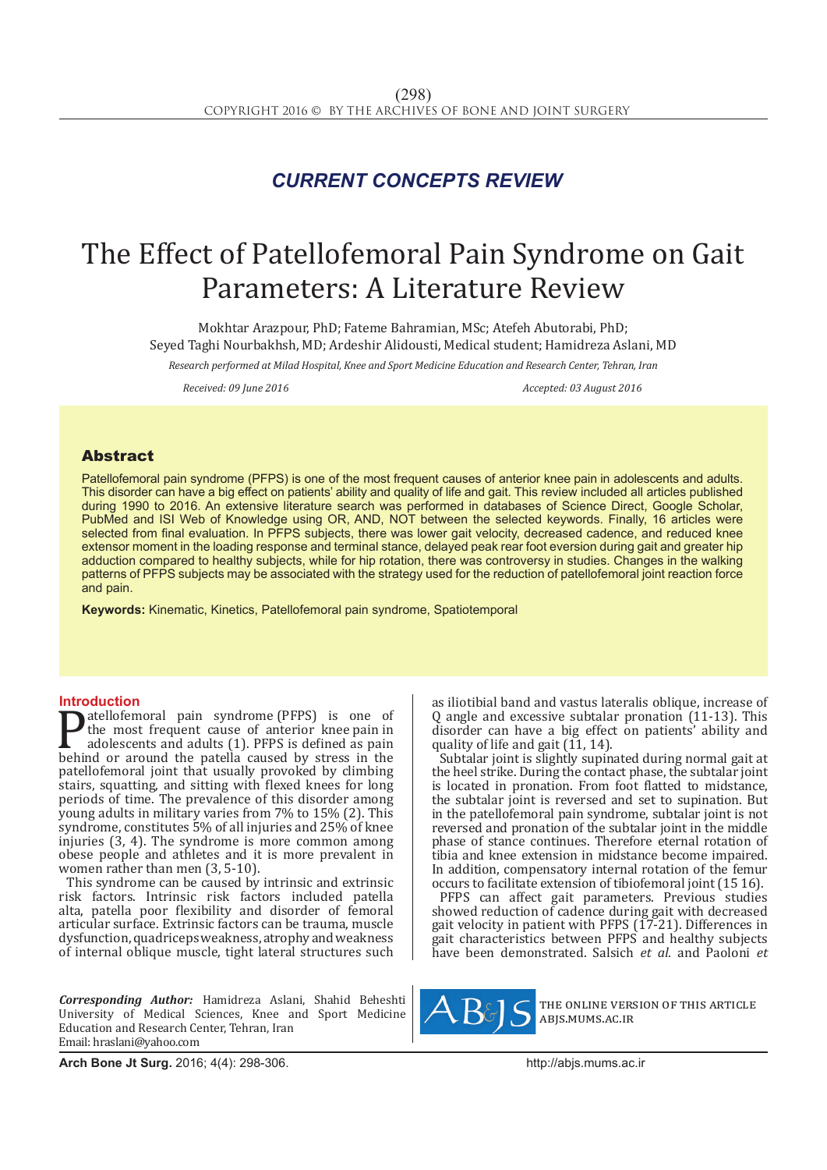## *CURRENT CONCEPTS REVIEW*

# The Effect of Patellofemoral Pain Syndrome on Gait Parameters: A Literature Review

Mokhtar Arazpour, PhD; Fateme Bahramian, MSc; Atefeh Abutorabi, PhD; Seyed Taghi Nourbakhsh, MD; Ardeshir Alidousti, Medical student; Hamidreza Aslani, MD

*Research performed at Milad Hospital, Knee and Sport Medicine Education and Research Center, Tehran, Iran*

*Received: 09 June 2016 Accepted: 03 August 2016*

### Abstract

Patellofemoral pain syndrome (PFPS) is one of the most frequent causes of anterior knee pain in adolescents and adults. This disorder can have a big effect on patients' ability and quality of life and gait. This review included all articles published during 1990 to 2016. An extensive literature search was performed in databases of Science Direct, Google Scholar, PubMed and ISI Web of Knowledge using OR, AND, NOT between the selected keywords. Finally, 16 articles were selected from final evaluation. In PFPS subjects, there was lower gait velocity, decreased cadence, and reduced knee extensor moment in the loading response and terminal stance, delayed peak rear foot eversion during gait and greater hip adduction compared to healthy subjects, while for hip rotation, there was controversy in studies. Changes in the walking patterns of PFPS subjects may be associated with the strategy used for the reduction of patellofemoral joint reaction force and pain.

**Keywords:** Kinematic, Kinetics, Patellofemoral pain syndrome, Spatiotemporal

**Introduction**<br>**T** atellofemoral pain syndrome (PFPS) is one of **Patellofemoral pain syndrome (PFPS)** is one of the most frequent cause of anterior knee pain in adolescents and adults (1). PFPS is defined as pain behind or around the patella caused by stress in the patellofemoral joint the most frequent cause of anterior knee pain in adolescents and adults (1). PFPS is defined as pain patellofemoral joint that usually provoked by climbing stairs, squatting, and sitting with flexed knees for long periods of time. The prevalence of this disorder among young adults in military varies from 7% to 15% (2). This syndrome, constitutes 5% of all injuries and 25% of knee injuries (3, 4). The syndrome is more common among obese people and athletes and it is more prevalent in women rather than men (3, 5-10).

This syndrome can be caused by intrinsic and extrinsic risk factors. Intrinsic risk factors included patella alta, patella poor flexibility and disorder of femoral articular surface. Extrinsic factors can be trauma, muscle dysfunction, quadriceps weakness, atrophy and weakness of internal oblique muscle, tight lateral structures such

*Corresponding Author:* Hamidreza Aslani, Shahid Beheshti University of Medical Sciences, Knee and Sport Medicine Education and Research Center, Tehran, Iran Email: hraslani@yahoo.com

as iliotibial band and vastus lateralis oblique, increase of Q angle and excessive subtalar pronation (11-13). This disorder can have a big effect on patients' ability and quality of life and gait  $(11, 14)$ .

Subtalar joint is slightly supinated during normal gait at the heel strike. During the contact phase, the subtalar joint is located in pronation. From foot flatted to midstance, the subtalar joint is reversed and set to supination. But in the patellofemoral pain syndrome, subtalar joint is not reversed and pronation of the subtalar joint in the middle phase of stance continues. Therefore eternal rotation of tibia and knee extension in midstance become impaired. In addition, compensatory internal rotation of the femur occurs to facilitate extension of tibiofemoral joint (15 16).

PFPS can affect gait parameters. Previous studies showed reduction of cadence during gait with decreased gait velocity in patient with PFPS (17-21). Differences in gait characteristics between PFPS and healthy subjects have been demonstrated. Salsich *et al.* and Paoloni *et* 



the online version of this article abjs.mums.ac.ir

**Arch Bone Jt Surg.** 2016; 4(4): 298-306. **http://abjs.mums.ac.ir** http://abjs.mums.ac.ir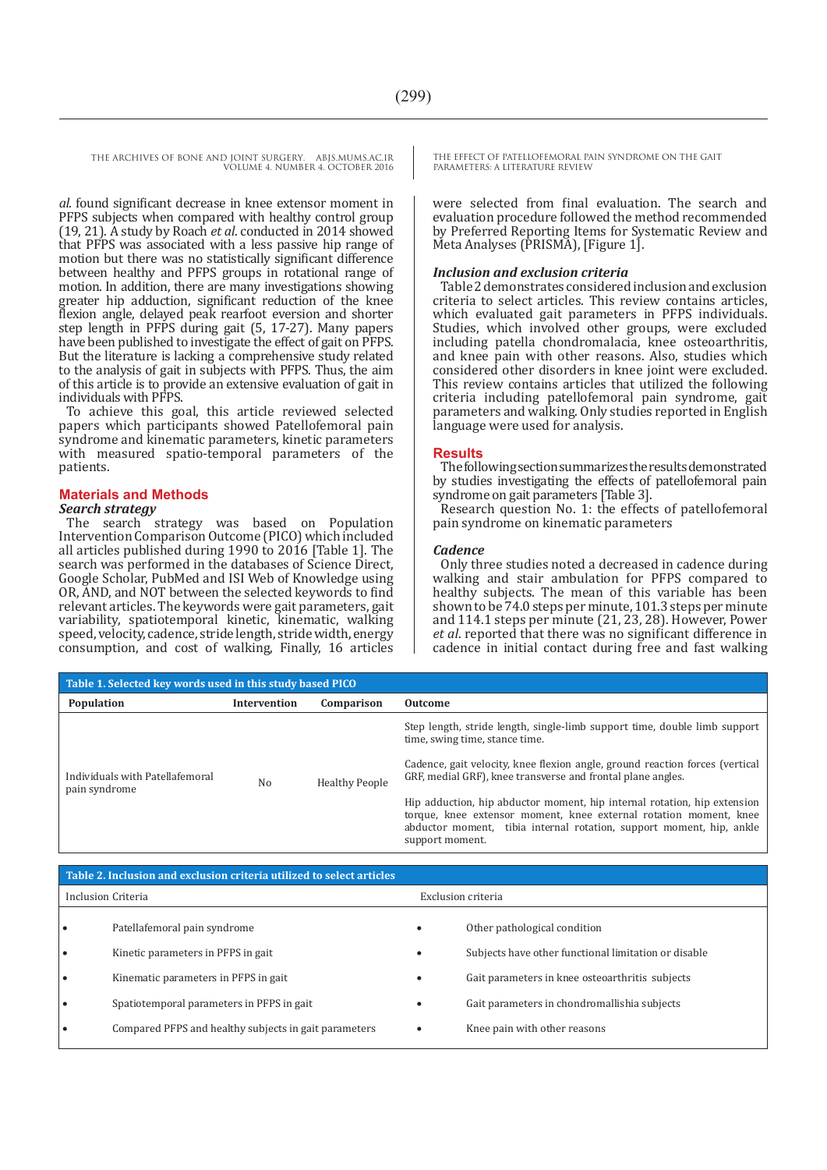*al*. found significant decrease in knee extensor moment in PFPS subjects when compared with healthy control group (19, 21). A study by Roach *et al*. conducted in 2014 showed that PFPS was associated with a less passive hip range of motion but there was no statistically significant difference between healthy and PFPS groups in rotational range of motion. In addition, there are many investigations showing greater hip adduction, significant reduction of the knee flexion angle, delayed peak rearfoot eversion and shorter step length in PFPS during gait (5, 17-27). Many papers have been published to investigate the effect of gait on PFPS. But the literature is lacking a comprehensive study related to the analysis of gait in subjects with PFPS. Thus, the aim of this article is to provide an extensive evaluation of gait in individuals with PFPS.

To achieve this goal, this article reviewed selected papers which participants showed Patellofemoral pain syndrome and kinematic parameters, kinetic parameters with measured spatio-temporal parameters of the patients.

#### **Materials and Methods**

#### *Search strategy*

The search strategy was based on Population Intervention Comparison Outcome (PICO) which included all articles published during 1990 to 2016 [Table 1]. The search was performed in the databases of Science Direct, Google Scholar, PubMed and ISI Web of Knowledge using OR, AND, and NOT between the selected keywords to find relevant articles. The keywords were gait parameters, gait variability, spatiotemporal kinetic, kinematic, walking speed, velocity, cadence, stride length, stride width, energy consumption, and cost of walking, Finally, 16 articles THE EFFECT OF PATELLOFEMORAL PAIN SYNDROME ON THE GAIT PARAMETERS: A LITERATURE REVIEW

were selected from final evaluation. The search and evaluation procedure followed the method recommended by Preferred Reporting Items for Systematic Review and Meta Analyses (PRISMA), [Figure 1].

#### *Inclusion and exclusion criteria*

Table 2 demonstrates considered inclusion and exclusion criteria to select articles. This review contains articles, which evaluated gait parameters in PFPS individuals. Studies, which involved other groups, were excluded including patella chondromalacia, knee osteoarthritis, and knee pain with other reasons. Also, studies which considered other disorders in knee joint were excluded. This review contains articles that utilized the following criteria including patellofemoral pain syndrome, gait parameters and walking. Only studies reported in English language were used for analysis.

#### **Results**

The following section summarizes the results demonstrated by studies investigating the effects of patellofemoral pain syndrome on gait parameters [Table 3].

Research question No. 1: the effects of patellofemoral pain syndrome on kinematic parameters

#### *Cadence*

Only three studies noted a decreased in cadence during walking and stair ambulation for PFPS compared to healthy subjects. The mean of this variable has been shown to be 74.0 steps per minute, 101.3 steps per minute and 114.1 steps per minute (21, 23, 28). However, Power *et al*. reported that there was no significant difference in cadence in initial contact during free and fast walking

| Table 1. Selected key words used in this study based PICO |                     |                       |                                                                                                                                                                                                                                                                                                                                                                                                             |  |  |  |  |
|-----------------------------------------------------------|---------------------|-----------------------|-------------------------------------------------------------------------------------------------------------------------------------------------------------------------------------------------------------------------------------------------------------------------------------------------------------------------------------------------------------------------------------------------------------|--|--|--|--|
| <b>Population</b>                                         | <b>Intervention</b> | Comparison            | Outcome                                                                                                                                                                                                                                                                                                                                                                                                     |  |  |  |  |
| Individuals with Patellafemoral<br>pain syndrome          | No                  | <b>Healthy People</b> | Step length, stride length, single-limb support time, double limb support<br>time, swing time, stance time.<br>Cadence, gait velocity, knee flexion angle, ground reaction forces (vertical<br>GRF, medial GRF), knee transverse and frontal plane angles.<br>Hip adduction, hip abductor moment, hip internal rotation, hip extension<br>torque, knee extensor moment, knee external rotation moment, knee |  |  |  |  |
|                                                           |                     |                       | abductor moment, tibia internal rotation, support moment, hip, ankle<br>support moment.                                                                                                                                                                                                                                                                                                                     |  |  |  |  |

| Table 2. Inclusion and exclusion criteria utilized to select articles |                                                       |   |                                                      |  |  |
|-----------------------------------------------------------------------|-------------------------------------------------------|---|------------------------------------------------------|--|--|
| Inclusion Criteria                                                    |                                                       |   | Exclusion criteria                                   |  |  |
|                                                                       | Patellafemoral pain syndrome                          | ٠ | Other pathological condition                         |  |  |
|                                                                       | Kinetic parameters in PFPS in gait                    | ٠ | Subjects have other functional limitation or disable |  |  |
|                                                                       | Kinematic parameters in PFPS in gait                  |   | Gait parameters in knee osteoarthritis subjects      |  |  |
| $\bullet$                                                             | Spatiotemporal parameters in PFPS in gait             | ٠ | Gait parameters in chondromallishia subjects         |  |  |
|                                                                       | Compared PFPS and healthy subjects in gait parameters |   | Knee pain with other reasons                         |  |  |
|                                                                       |                                                       |   |                                                      |  |  |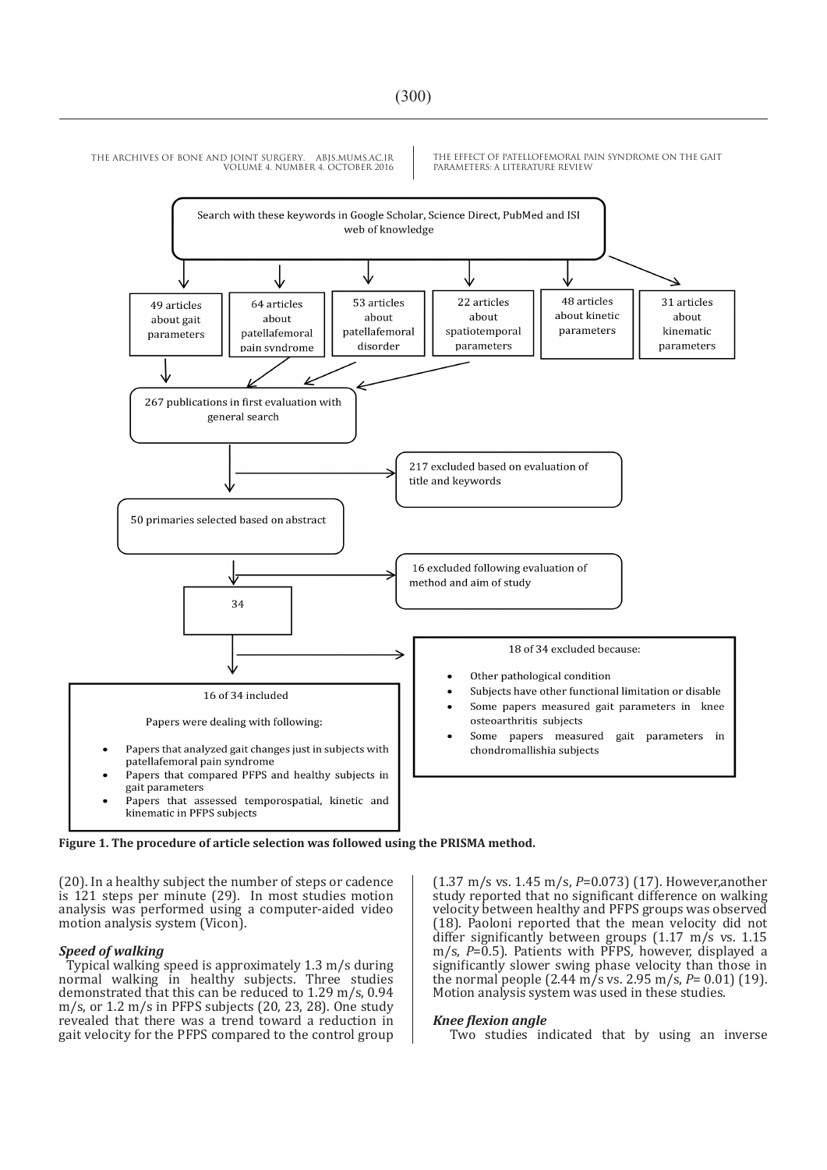

THE EFFECT OF PATELLOFEMORAL PAIN SYNDROME ON THE GAIT PARAMETERS: A LITERATURE REVIEW

**Figure 1. The procedure of article selection was followed using the PRISMA method.**

(20). In a healthy subject the number of steps or cadence is 121 steps per minute (29). In most studies motion analysis was performed using a computer-aided video motion analysis system (Vicon).

#### *Speed of walking*

Typical walking speed is approximately 1.3 m/s during normal walking in healthy subjects. Three studies demonstrated that this can be reduced to 1.29 m/s, 0.94 m/s, or 1.2 m/s in PFPS subjects (20, 23, 28). One study revealed that there was a trend toward a reduction in gait velocity for the PFPS compared to the control group (1.37 m/s vs. 1.45 m/s, *P*=0.073) (17). However,another study reported that no significant difference on walking velocity between healthy and PFPS groups was observed (18). Paoloni reported that the mean velocity did not differ significantly between groups (1.17 m/s vs. 1.15 m/s, *P*=0.5). Patients with PFPS, however, displayed a significantly slower swing phase velocity than those in the normal people (2.44 m/s vs. 2.95 m/s, *P*= 0.01) (19). Motion analysis system was used in these studies.

#### *Knee flexion angle*

Two studies indicated that by using an inverse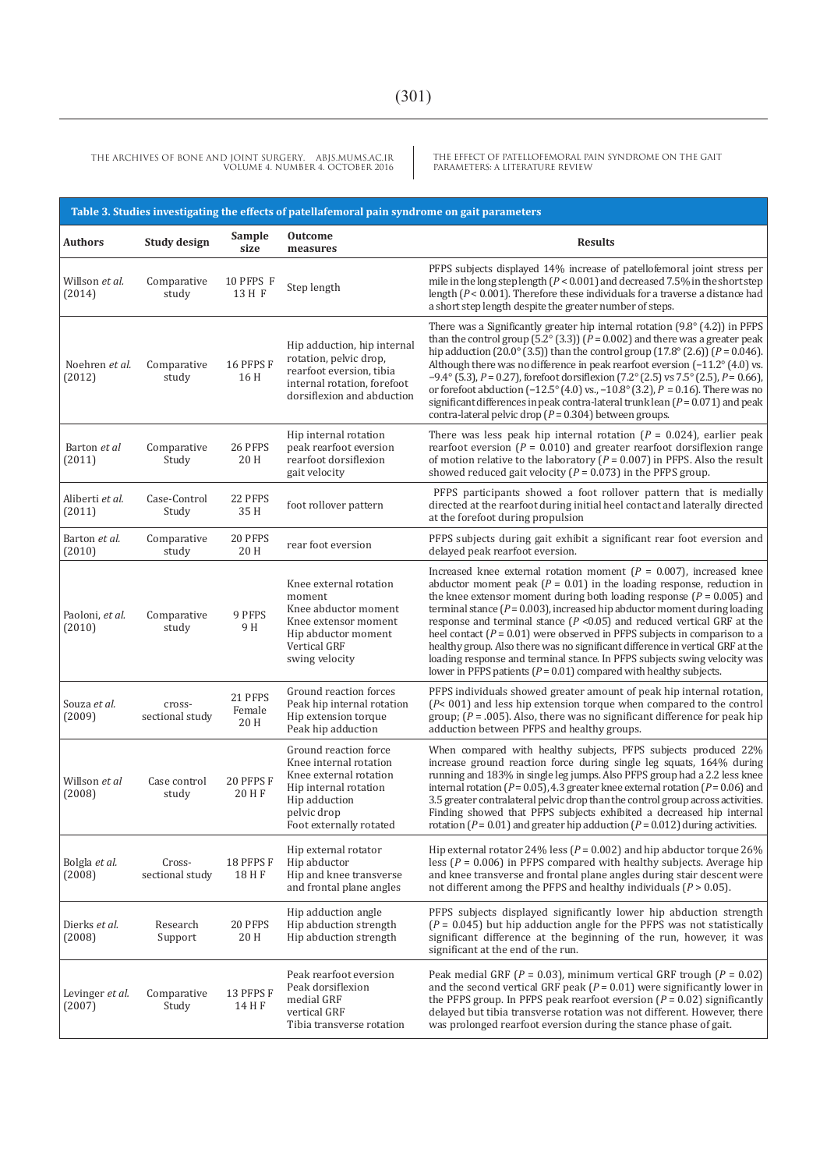THE EFFECT OF PATELLOFEMORAL PAIN SYNDROME ON THE GAIT PARAMETERS: A LITERATURE REVIEW

| Table 3. Studies investigating the effects of patellafemoral pain syndrome on gait parameters |                           |                           |                                                                                                                                                               |                                                                                                                                                                                                                                                                                                                                                                                                                                                                                                                                                                                                                                                                                                                                        |  |  |
|-----------------------------------------------------------------------------------------------|---------------------------|---------------------------|---------------------------------------------------------------------------------------------------------------------------------------------------------------|----------------------------------------------------------------------------------------------------------------------------------------------------------------------------------------------------------------------------------------------------------------------------------------------------------------------------------------------------------------------------------------------------------------------------------------------------------------------------------------------------------------------------------------------------------------------------------------------------------------------------------------------------------------------------------------------------------------------------------------|--|--|
| <b>Authors</b>                                                                                | <b>Study design</b>       | Sample<br>size            | <b>Outcome</b><br>measures                                                                                                                                    | <b>Results</b>                                                                                                                                                                                                                                                                                                                                                                                                                                                                                                                                                                                                                                                                                                                         |  |  |
| Willson et al.<br>(2014)                                                                      | Comparative<br>study      | 10 PFPS F<br>13 H F       | Step length                                                                                                                                                   | PFPS subjects displayed 14% increase of patellofemoral joint stress per<br>mile in the long step length ( $P < 0.001$ ) and decreased 7.5% in the short step<br>length $(P < 0.001)$ . Therefore these individuals for a traverse a distance had<br>a short step length despite the greater number of steps.                                                                                                                                                                                                                                                                                                                                                                                                                           |  |  |
| Noehren et al.<br>(2012)                                                                      | Comparative<br>study      | 16 PFPS F<br>16 H         | Hip adduction, hip internal<br>rotation, pelvic drop,<br>rearfoot eversion, tibia<br>internal rotation, forefoot<br>dorsiflexion and abduction                | There was a Significantly greater hip internal rotation $(9.8^{\circ} (4.2))$ in PFPS<br>than the control group (5.2 $\degree$ (3.3)) ( $P = 0.002$ ) and there was a greater peak<br>hip adduction (20.0° (3.5)) than the control group (17.8° (2.6)) ( $P = 0.046$ ).<br>Although there was no difference in peak rearfoot eversion $(-11.2^{\circ} (4.0)$ vs.<br>$-9.4^{\circ}$ (5.3), $P = 0.27$ ), forefoot dorsiflexion (7.2° (2.5) vs 7.5° (2.5), $P = 0.66$ ),<br>or forefoot abduction $(-12.5^{\circ} (4.0) \text{ vs. } -10.8^{\circ} (3.2)$ , $P = 0.16$ ). There was no<br>significant differences in peak contra-lateral trunk lean $(P = 0.071)$ and peak<br>contra-lateral pelvic drop ( $P = 0.304$ ) between groups. |  |  |
| Barton et al<br>(2011)                                                                        | Comparative<br>Study      | 26 PFPS<br>20 H           | Hip internal rotation<br>peak rearfoot eversion<br>rearfoot dorsiflexion<br>gait velocity                                                                     | There was less peak hip internal rotation ( $P = 0.024$ ), earlier peak<br>rearfoot eversion ( $P = 0.010$ ) and greater rearfoot dorsiflexion range<br>of motion relative to the laboratory ( $P = 0.007$ ) in PFPS. Also the result<br>showed reduced gait velocity ( $P = 0.073$ ) in the PFPS group.                                                                                                                                                                                                                                                                                                                                                                                                                               |  |  |
| Aliberti et al.<br>(2011)                                                                     | Case-Control<br>Study     | 22 PFPS<br>35 H           | foot rollover pattern                                                                                                                                         | PFPS participants showed a foot rollover pattern that is medially<br>directed at the rearfoot during initial heel contact and laterally directed<br>at the forefoot during propulsion                                                                                                                                                                                                                                                                                                                                                                                                                                                                                                                                                  |  |  |
| Barton et al.<br>(2010)                                                                       | Comparative<br>study      | 20 PFPS<br>20 H           | rear foot eversion                                                                                                                                            | PFPS subjects during gait exhibit a significant rear foot eversion and<br>delayed peak rearfoot eversion.                                                                                                                                                                                                                                                                                                                                                                                                                                                                                                                                                                                                                              |  |  |
| Paoloni, et al.<br>(2010)                                                                     | Comparative<br>study      | 9 PFPS<br>9 H             | Knee external rotation<br>moment<br>Knee abductor moment<br>Knee extensor moment<br>Hip abductor moment<br>Vertical GRF<br>swing velocity                     | Increased knee external rotation moment ( $P = 0.007$ ), increased knee<br>abductor moment peak ( $P = 0.01$ ) in the loading response, reduction in<br>the knee extensor moment during both loading response ( $P = 0.005$ ) and<br>terminal stance ( $P = 0.003$ ), increased hip abductor moment during loading<br>response and terminal stance $(P < 0.05)$ and reduced vertical GRF at the<br>heel contact ( $P = 0.01$ ) were observed in PFPS subjects in comparison to a<br>healthy group. Also there was no significant difference in vertical GRF at the<br>loading response and terminal stance. In PFPS subjects swing velocity was<br>lower in PFPS patients ( $P = 0.01$ ) compared with healthy subjects.               |  |  |
| Souza et al.<br>(2009)                                                                        | cross-<br>sectional study | 21 PFPS<br>Female<br>20 H | Ground reaction forces<br>Peak hip internal rotation<br>Hip extension torque<br>Peak hip adduction                                                            | PFPS individuals showed greater amount of peak hip internal rotation,<br>$(P< 001)$ and less hip extension torque when compared to the control<br>group; $(P = .005)$ . Also, there was no significant difference for peak hip<br>adduction between PFPS and healthy groups.                                                                                                                                                                                                                                                                                                                                                                                                                                                           |  |  |
| Willson et al<br>(2008)                                                                       | Case control<br>study     | 20 PFPS F<br>20 H F       | Ground reaction force<br>Knee internal rotation<br>Knee external rotation<br>Hip internal rotation<br>Hip adduction<br>pelvic drop<br>Foot externally rotated | When compared with healthy subjects, PFPS subjects produced 22%<br>increase ground reaction force during single leg squats, 164% during<br>running and 183% in single leg jumps. Also PFPS group had a 2.2 less knee<br>internal rotation ( $P = 0.05$ ), 4.3 greater knee external rotation ( $P = 0.06$ ) and<br>3.5 greater contralateral pelvic drop than the control group across activities.<br>Finding showed that PFPS subjects exhibited a decreased hip internal<br>rotation ( $P = 0.01$ ) and greater hip adduction ( $P = 0.012$ ) during activities.                                                                                                                                                                     |  |  |
| Bolgla et al.<br>(2008)                                                                       | Cross-<br>sectional study | 18 PFPS F<br>18 H F       | Hip external rotator<br>Hip abductor<br>Hip and knee transverse<br>and frontal plane angles                                                                   | Hip external rotator 24% less ( $P = 0.002$ ) and hip abductor torque 26%<br>less ( $P = 0.006$ ) in PFPS compared with healthy subjects. Average hip<br>and knee transverse and frontal plane angles during stair descent were<br>not different among the PFPS and healthy individuals ( $P > 0.05$ ).                                                                                                                                                                                                                                                                                                                                                                                                                                |  |  |
| Dierks et al.<br>(2008)                                                                       | Research<br>Support       | 20 PFPS<br>20 H           | Hip adduction angle<br>Hip abduction strength<br>Hip abduction strength                                                                                       | PFPS subjects displayed significantly lower hip abduction strength<br>$(P = 0.045)$ but hip adduction angle for the PFPS was not statistically<br>significant difference at the beginning of the run, however, it was<br>significant at the end of the run.                                                                                                                                                                                                                                                                                                                                                                                                                                                                            |  |  |
| Levinger et al.<br>(2007)                                                                     | Comparative<br>Study      | 13 PFPS F<br>14 H F       | Peak rearfoot eversion<br>Peak dorsiflexion<br>medial GRF<br>vertical GRF<br>Tibia transverse rotation                                                        | Peak medial GRF ( $P = 0.03$ ), minimum vertical GRF trough ( $P = 0.02$ )<br>and the second vertical GRF peak ( $P = 0.01$ ) were significantly lower in<br>the PFPS group. In PFPS peak rearfoot eversion $(P = 0.02)$ significantly<br>delayed but tibia transverse rotation was not different. However, there<br>was prolonged rearfoot eversion during the stance phase of gait.                                                                                                                                                                                                                                                                                                                                                  |  |  |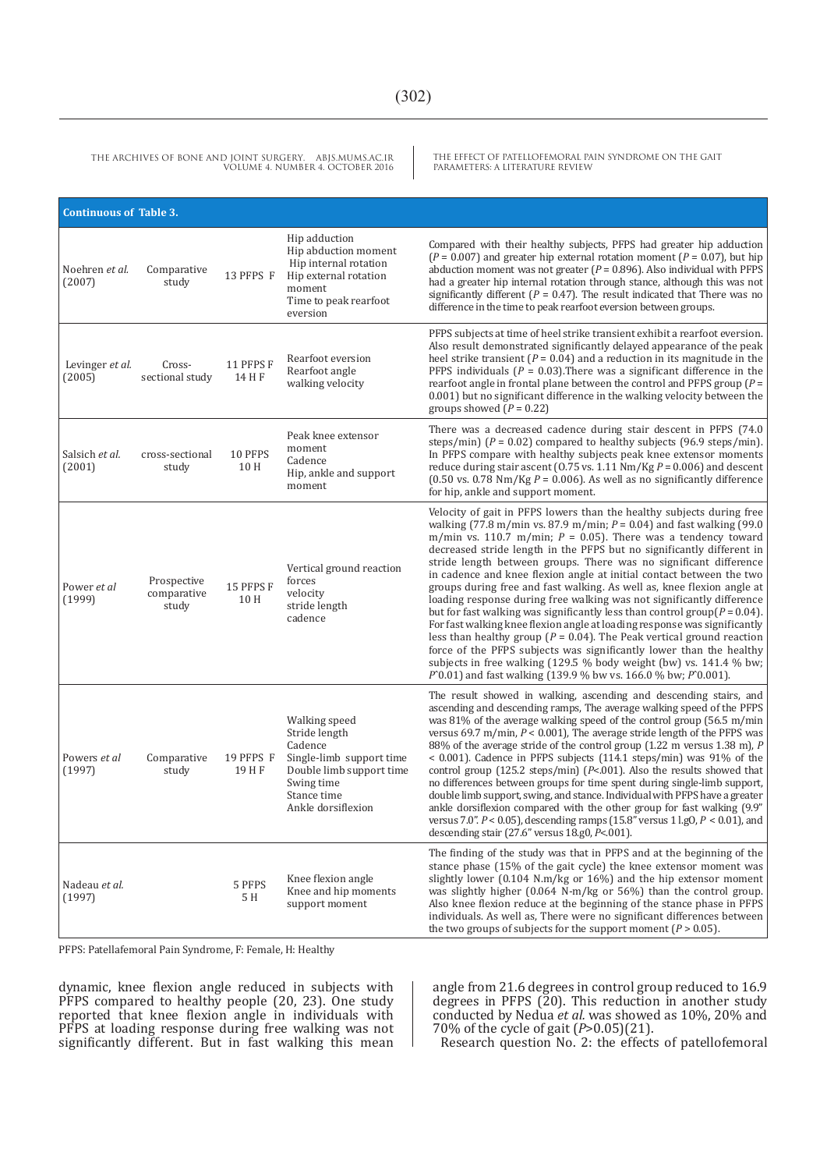THE EFFECT OF PATELLOFEMORAL PAIN SYNDROME ON THE GAIT PARAMETERS: A LITERATURE REVIEW

| <b>Continuous of Table 3.</b> |                                     |                     |                                                                                                                                                      |                                                                                                                                                                                                                                                                                                                                                                                                                                                                                                                                                                                                                                                                                                                                                                                                                                                                                                                                                                                                                                                                                          |  |
|-------------------------------|-------------------------------------|---------------------|------------------------------------------------------------------------------------------------------------------------------------------------------|------------------------------------------------------------------------------------------------------------------------------------------------------------------------------------------------------------------------------------------------------------------------------------------------------------------------------------------------------------------------------------------------------------------------------------------------------------------------------------------------------------------------------------------------------------------------------------------------------------------------------------------------------------------------------------------------------------------------------------------------------------------------------------------------------------------------------------------------------------------------------------------------------------------------------------------------------------------------------------------------------------------------------------------------------------------------------------------|--|
| Noehren et al.<br>(2007)      | Comparative<br>study                | 13 PFPS F           | Hip adduction<br>Hip abduction moment<br>Hip internal rotation<br>Hip external rotation<br>moment<br>Time to peak rearfoot<br>eversion               | Compared with their healthy subjects, PFPS had greater hip adduction<br>$(P = 0.007)$ and greater hip external rotation moment $(P = 0.07)$ , but hip<br>abduction moment was not greater ( $P = 0.896$ ). Also individual with PFPS<br>had a greater hip internal rotation through stance, although this was not<br>significantly different ( $P = 0.47$ ). The result indicated that There was no<br>difference in the time to peak rearfoot eversion between groups.                                                                                                                                                                                                                                                                                                                                                                                                                                                                                                                                                                                                                  |  |
| Levinger et al.<br>(2005)     | Cross-<br>sectional study           | 11 PFPS F<br>14 H F | Rearfoot eversion<br>Rearfoot angle<br>walking velocity                                                                                              | PFPS subjects at time of heel strike transient exhibit a rearfoot eversion.<br>Also result demonstrated significantly delayed appearance of the peak<br>heel strike transient ( $P = 0.04$ ) and a reduction in its magnitude in the<br>PFPS individuals ( $P = 0.03$ ). There was a significant difference in the<br>rearfoot angle in frontal plane between the control and PFPS group $(P =$<br>0.001) but no significant difference in the walking velocity between the<br>groups showed $(P = 0.22)$                                                                                                                                                                                                                                                                                                                                                                                                                                                                                                                                                                                |  |
| Salsich et al.<br>(2001)      | cross-sectional<br>study            | 10 PFPS<br>10 H     | Peak knee extensor<br>moment<br>Cadence<br>Hip, ankle and support<br>moment                                                                          | There was a decreased cadence during stair descent in PFPS (74.0)<br>steps/min) ( $P = 0.02$ ) compared to healthy subjects (96.9 steps/min).<br>In PFPS compare with healthy subjects peak knee extensor moments<br>reduce during stair ascent (0.75 vs. 1.11 $Nm/Kg P = 0.006$ ) and descent<br>$(0.50 \text{ vs. } 0.78 \text{ Nm/Kg } P = 0.006)$ . As well as no significantly difference<br>for hip, ankle and support moment.                                                                                                                                                                                                                                                                                                                                                                                                                                                                                                                                                                                                                                                     |  |
| Power et al<br>(1999)         | Prospective<br>comparative<br>study | 15 PFPS F<br>10 H   | Vertical ground reaction<br>forces<br>velocity<br>stride length<br>cadence                                                                           | Velocity of gait in PFPS lowers than the healthy subjects during free<br>walking $(77.8 \text{ m/min vs. } 87.9 \text{ m/min}; P = 0.04)$ and fast walking $(99.0 \text{ m})$<br>m/min vs. 110.7 m/min; $P = 0.05$ ). There was a tendency toward<br>decreased stride length in the PFPS but no significantly different in<br>stride length between groups. There was no significant difference<br>in cadence and knee flexion angle at initial contact between the two<br>groups during free and fast walking. As well as, knee flexion angle at<br>loading response during free walking was not significantly difference<br>but for fast walking was significantly less than control group( $P = 0.04$ ).<br>For fast walking knee flexion angle at loading response was significantly<br>less than healthy group ( $P = 0.04$ ). The Peak vertical ground reaction<br>force of the PFPS subjects was significantly lower than the healthy<br>subjects in free walking (129.5 % body weight (bw) vs. 141.4 % bw;<br>$P$ 0.01) and fast walking (139.9 % bw vs. 166.0 % bw; $P$ 0.001). |  |
| Powers et al<br>(1997)        | Comparative<br>study                | 19 PFPS F<br>19 H F | Walking speed<br>Stride length<br>Cadence<br>Single-limb support time<br>Double limb support time<br>Swing time<br>Stance time<br>Ankle dorsiflexion | The result showed in walking, ascending and descending stairs, and<br>ascending and descending ramps, The average walking speed of the PFPS<br>was 81% of the average walking speed of the control group (56.5 m/min<br>versus 69.7 m/min, $P < 0.001$ ), The average stride length of the PFPS was<br>88% of the average stride of the control group (1.22 m versus 1.38 m), $P$<br>$<$ 0.001). Cadence in PFPS subjects (114.1 steps/min) was 91% of the<br>control group $(125.2 \text{ steps/min})$ (P<.001). Also the results showed that<br>no differences between groups for time spent during single-limb support,<br>double limb support, swing, and stance. Individual with PFPS have a greater<br>ankle dorsiflexion compared with the other group for fast walking (9.9"<br>versus 7.0". $P < 0.05$ ), descending ramps (15.8" versus 1 l.g0, $P < 0.01$ ), and<br>descending stair (27.6" versus 18.g0, P<.001).                                                                                                                                                            |  |
| Nadeau et al.<br>(1997)       |                                     | 5 PFPS<br>5 H       | Knee flexion angle<br>Knee and hip moments<br>support moment                                                                                         | The finding of the study was that in PFPS and at the beginning of the<br>stance phase (15% of the gait cycle) the knee extensor moment was<br>slightly lower $(0.104 \text{ N} \cdot \text{m/kg})$ or $16\%$ and the hip extensor moment<br>was slightly higher (0.064 N-m/kg or 56%) than the control group.<br>Also knee flexion reduce at the beginning of the stance phase in PFPS<br>individuals. As well as, There were no significant differences between<br>the two groups of subjects for the support moment ( $P > 0.05$ ).                                                                                                                                                                                                                                                                                                                                                                                                                                                                                                                                                    |  |

PFPS: Patellafemoral Pain Syndrome, F: Female, H: Healthy

dynamic, knee flexion angle reduced in subjects with PFPS compared to healthy people (20, 23). One study reported that knee flexion angle in individuals with PFPS at loading response during free walking was not significantly different. But in fast walking this mean angle from 21.6 degrees in control group reduced to 16.9 degrees in PFPS (20). This reduction in another study conducted by Nedua *et al.* was showed as 10%, 20% and 70% of the cycle of gait (*P*>0.05)(21).

Research question No. 2: the effects of patellofemoral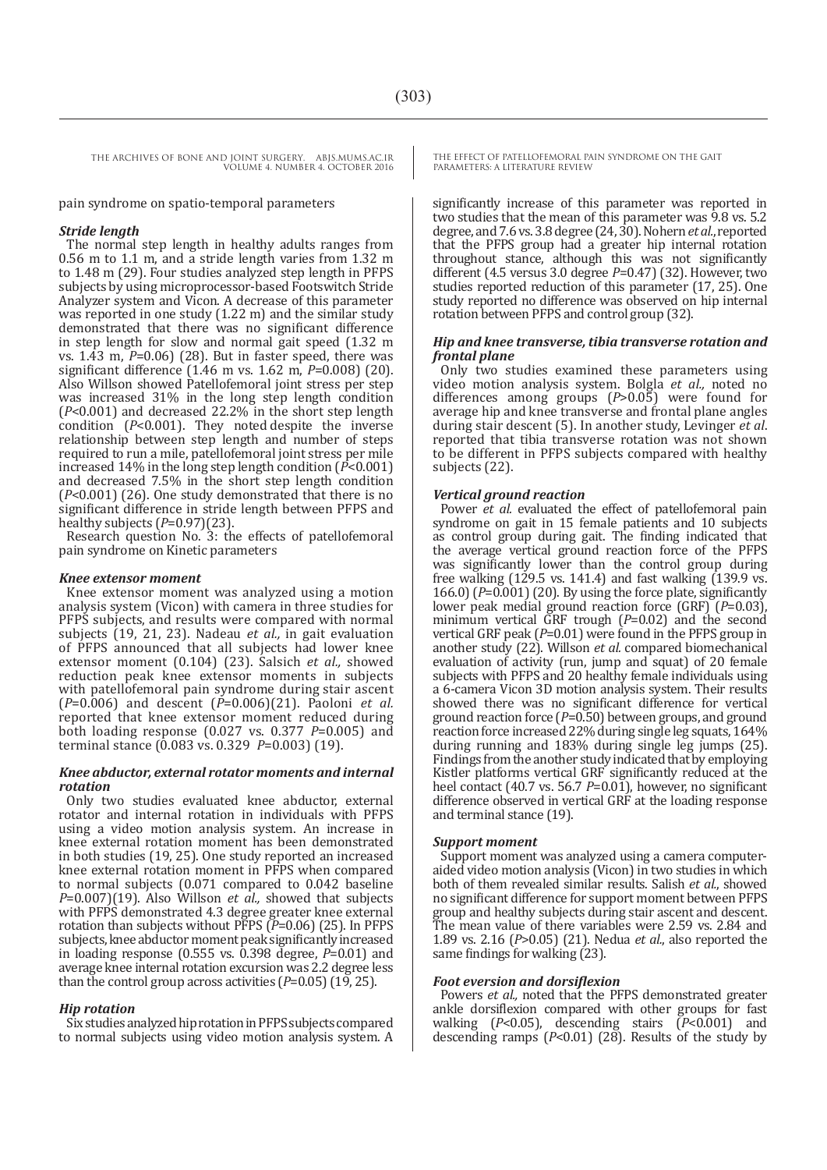pain syndrome on spatio-temporal parameters

#### *Stride length*

The normal step length in healthy adults ranges from 0.56 m to 1.1 m, and a stride length varies from 1.32 m to 1.48 m (29). Four studies analyzed step length in PFPS subjects by using microprocessor-based Footswitch Stride Analyzer system and Vicon. A decrease of this parameter was reported in one study (1.22 m) and the similar study demonstrated that there was no significant difference in step length for slow and normal gait speed (1.32 m vs. 1.43 m, *P*=0.06) (28). But in faster speed, there was significant difference (1.46 m vs. 1.62 m, *P*=0.008) (20). Also Willson showed Patellofemoral joint stress per step was increased 31% in the long step length condition (*P*<0.001) and decreased 22.2% in the short step length condition (*P*<0.001). They noted despite the inverse relationship between step length and number of steps required to run a mile, patellofemoral joint stress per mile increased 14% in the long step length condition (*P*<0.001) and decreased 7.5% in the short step length condition (*P*<0.001) (26). One study demonstrated that there is no significant difference in stride length between PFPS and healthy subjects (*P*=0.97)(23).

Research question No. 3: the effects of patellofemoral pain syndrome on Kinetic parameters

#### *Knee extensor moment*

Knee extensor moment was analyzed using a motion analysis system (Vicon) with camera in three studies for PFPS subjects, and results were compared with normal subjects (19, 21, 23). Nadeau *et al.,* in gait evaluation of PFPS announced that all subjects had lower knee extensor moment (0.104) (23). Salsich *et al.,* showed reduction peak knee extensor moments in subjects with patellofemoral pain syndrome during stair ascent  $(P=0.006)$  and descent  $(P=0.006)(21)$ . Paoloni *et al.* (*P*=0.006) and descent (*P*=0.006)(21). Paoloni *et al.* reported that knee extensor moment reduced during both loading response (0.027 vs. 0.377 *P*=0.005) and terminal stance (0.083 vs. 0.329 *P*=0.003) (19).

#### *Knee abductor, external rotator moments and internal rotation*

Only two studies evaluated knee abductor, external rotator and internal rotation in individuals with PFPS using a video motion analysis system. An increase in knee external rotation moment has been demonstrated in both studies (19, 25). One study reported an increased knee external rotation moment in PFPS when compared to normal subjects (0.071 compared to 0.042 baseline *P*=0.007)(19). Also Willson *et al.,* showed that subjects with PFPS demonstrated 4.3 degree greater knee external rotation than subjects without PFPS (*P*=0.06) (25). In PFPS subjects, knee abductor moment peak significantly increased in loading response (0.555 vs. 0.398 degree, *P*=0.01) and average knee internal rotation excursion was 2.2 degree less than the control group across activities (*P*=0.05) (19, 25).

#### *Hip rotation*

Six studies analyzed hip rotation in PFPS subjects compared to normal subjects using video motion analysis system. A

THE EFFECT OF PATELLOFEMORAL PAIN SYNDROME ON THE GAIT PARAMETERS: A LITERATURE REVIEW

significantly increase of this parameter was reported in two studies that the mean of this parameter was 9.8 vs. 5.2 degree, and 7.6 vs. 3.8 degree (24, 30). Nohern et al., reported that the PFPS group had a greater hip internal rotation throughout stance, although this was not significantly different (4.5 versus 3.0 degree *P*=0.47) (32). However, two studies reported reduction of this parameter (17, 25). One study reported no difference was observed on hip internal rotation between PFPS and control group (32).

#### *Hip and knee transverse, tibia transverse rotation and frontal plane*

Only two studies examined these parameters using video motion analysis system. Bolgla *et al.,* noted no differences among groups (*P*>0.05) were found for average hip and knee transverse and frontal plane angles during stair descent (5). In another study, Levinger *et al*. reported that tibia transverse rotation was not shown to be different in PFPS subjects compared with healthy subjects (22).

#### *Vertical ground reaction*

Power *et al.* evaluated the effect of patellofemoral pain syndrome on gait in 15 female patients and 10 subjects as control group during gait. The finding indicated that the average vertical ground reaction force of the PFPS was significantly lower than the control group during free walking (129.5 vs. 141.4) and fast walking (139.9 vs. 166.0)  $(P=0.001)$  (20). By using the force plate, significantly lower peak medial ground reaction force (GRF) (*P*=0.03), minimum vertical GRF trough ( $P=0.02$ ) and the second vertical GRF peak (*P*=0.01) were found in the PFPS group in another study (22). Willson *et al.* compared biomechanical evaluation of activity (run, jump and squat) of 20 female subjects with PFPS and 20 healthy female individuals using a 6-camera Vicon 3D motion analysis system. Their results showed there was no significant difference for vertical ground reaction force (*P*=0.50) between groups, and ground reaction force increased 22% during single leg squats, 164% during running and 183% during single leg jumps (25). Findings from the another study indicated that by employing Kistler platforms vertical GRF significantly reduced at the heel contact (40.7 vs. 56.7 *P*=0.01), however, no significant difference observed in vertical GRF at the loading response and terminal stance (19).

#### *Support moment*

Support moment was analyzed using a camera computeraided video motion analysis (Vicon) in two studies in which both of them revealed similar results. Salish *et al.*, showed no significant difference for support moment between PFPS group and healthy subjects during stair ascent and descent. The mean value of there variables were 2.59 vs. 2.84 and 1.89 vs. 2.16 (*P*>0.05) (21). Nedua *et al.*, also reported the same findings for walking (23).

#### *Foot eversion and dorsiflexion*

Powers *et al.*, noted that the PFPS demonstrated greater ankle dorsiflexion compared with other groups for fast walking (*P*<0.05), descending stairs (*P*<0.001) and descending ramps (*P*<0.01) (28). Results of the study by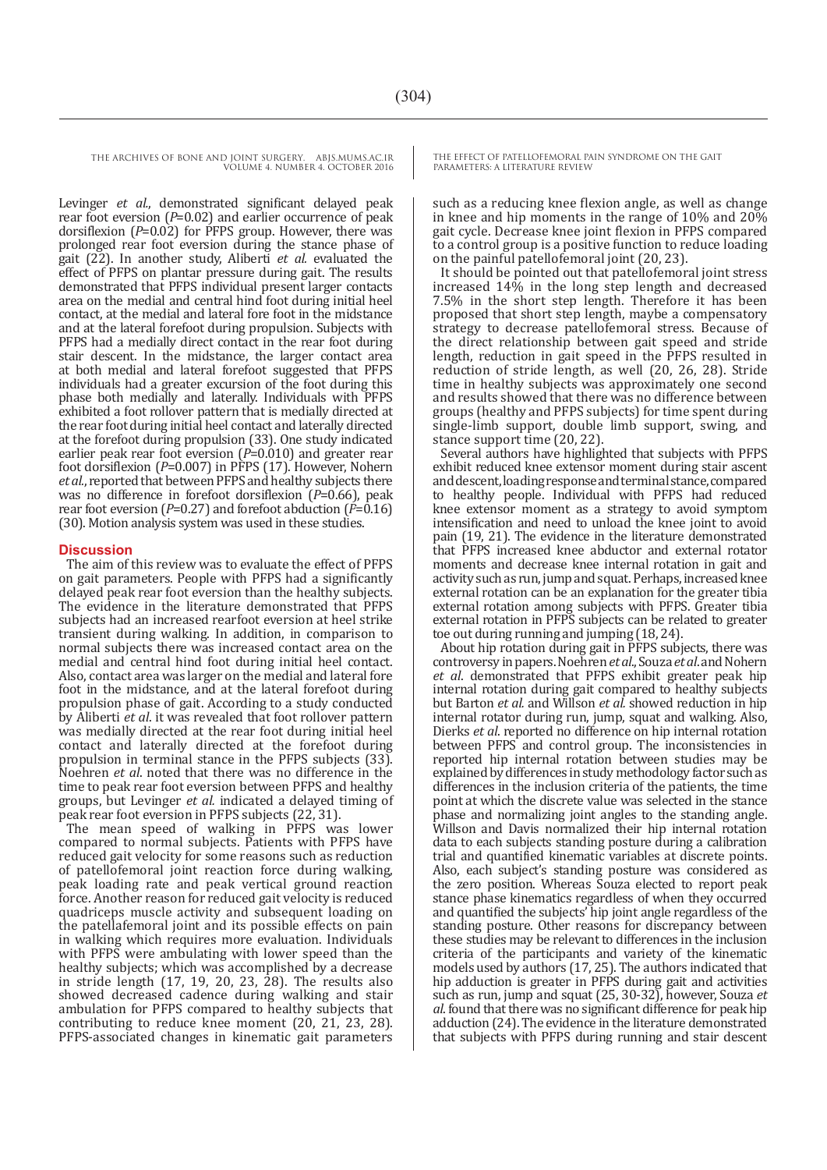Levinger *et al.*, demonstrated significant delayed peak rear foot eversion (*P*=0.02) and earlier occurrence of peak dorsiflexion (P=0.02) for PFPS group. However, there was prolonged rear foot eversion during the stance phase of gait (22). In another study, Aliberti *et al.* evaluated the effect of PFPS on plantar pressure during gait. The results demonstrated that PFPS individual present larger contacts area on the medial and central hind foot during initial heel contact, at the medial and lateral fore foot in the midstance and at the lateral forefoot during propulsion. Subjects with PFPS had a medially direct contact in the rear foot during stair descent. In the midstance, the larger contact area at both medial and lateral forefoot suggested that PFPS individuals had a greater excursion of the foot during this phase both medially and laterally. Individuals with PFPS exhibited a foot rollover pattern that is medially directed at the rear foot during initial heel contact and laterally directed at the forefoot during propulsion (33). One study indicated earlier peak rear foot eversion (*P*=0.010) and greater rear foot dorsiflexion (*P*=0.007) in PFPS (17). However, Nohern *et al.*, reported that between PFPS and healthy subjects there was no difference in forefoot dorsiflexion (*P*=0.66), peak rear foot eversion (*P*=0.27) and forefoot abduction (*P*=0.16) (30). Motion analysis system was used in these studies.

#### **Discussion**

The aim of this review was to evaluate the effect of PFPS on gait parameters. People with PFPS had a significantly delayed peak rear foot eversion than the healthy subjects. The evidence in the literature demonstrated that PFPS subjects had an increased rearfoot eversion at heel strike transient during walking. In addition, in comparison to normal subjects there was increased contact area on the medial and central hind foot during initial heel contact. Also, contact area was larger on the medial and lateral fore foot in the midstance, and at the lateral forefoot during propulsion phase of gait. According to a study conducted by Aliberti *et al*. it was revealed that foot rollover pattern was medially directed at the rear foot during initial heel contact and laterally directed at the forefoot during propulsion in terminal stance in the PFPS subjects (33). Noehren *et al*. noted that there was no difference in the time to peak rear foot eversion between PFPS and healthy groups, but Levinger *et al.* indicated a delayed timing of peak rear foot eversion in PFPS subjects (22, 31).

The mean speed of walking in PFPS was lower compared to normal subjects. Patients with PFPS have reduced gait velocity for some reasons such as reduction of patellofemoral joint reaction force during walking, peak loading rate and peak vertical ground reaction force. Another reason for reduced gait velocity is reduced quadriceps muscle activity and subsequent loading on the patellafemoral joint and its possible effects on pain in walking which requires more evaluation. Individuals with PFPS were ambulating with lower speed than the healthy subjects; which was accomplished by a decrease in stride length (17, 19, 20, 23, 28). The results also showed decreased cadence during walking and stair ambulation for PFPS compared to healthy subjects that contributing to reduce knee moment (20, 21, 23, 28). PFPS-associated changes in kinematic gait parameters

THE EFFECT OF PATELLOFEMORAL PAIN SYNDROME ON THE GAIT PARAMETERS: A LITERATURE REVIEW

such as a reducing knee flexion angle, as well as change in knee and hip moments in the range of 10% and 20% gait cycle. Decrease knee joint flexion in PFPS compared to a control group is a positive function to reduce loading on the painful patellofemoral joint (20, 23).

It should be pointed out that patellofemoral joint stress increased 14% in the long step length and decreased 7.5% in the short step length. Therefore it has been proposed that short step length, maybe a compensatory strategy to decrease patellofemoral stress. Because of the direct relationship between gait speed and stride length, reduction in gait speed in the PFPS resulted in reduction of stride length, as well (20, 26, 28). Stride time in healthy subjects was approximately one second and results showed that there was no difference between groups (healthy and PFPS subjects) for time spent during single-limb support, double limb support, swing, and stance support time (20, 22).

Several authors have highlighted that subjects with PFPS exhibit reduced knee extensor moment during stair ascent anddescent, loadingresponseandterminalstance, compared to healthy people. Individual with PFPS had reduced knee extensor moment as a strategy to avoid symptom intensification and need to unload the knee joint to avoid pain (19, 21). The evidence in the literature demonstrated that PFPS increased knee abductor and external rotator moments and decrease knee internal rotation in gait and activity such as run, jump and squat. Perhaps, increased knee external rotation can be an explanation for the greater tibia external rotation among subjects with PFPS. Greater tibia external rotation in PFPS subjects can be related to greater toe out during running and jumping (18, 24).

About hip rotation during gait in PFPS subjects, there was controversy in papers. Noehren *et al.*, Souza *et al.* and Nohern *et al*. demonstrated that PFPS exhibit greater peak hip internal rotation during gait compared to healthy subjects but Barton *et al.* and Willson *et al.* showed reduction in hip Dierks *et al.* reported no difference on hip internal rotation between PFPS and control group. The inconsistencies in reported hip internal rotation between studies may be explained by differences in study methodology factor such as differences in the inclusion criteria of the patients, the time point at which the discrete value was selected in the stance phase and normalizing joint angles to the standing angle. Willson and Davis normalized their hip internal rotation data to each subjects standing posture during a calibration trial and quantified kinematic variables at discrete points. Also, each subject's standing posture was considered as the zero position. Whereas Souza elected to report peak stance phase kinematics regardless of when they occurred and quantified the subjects' hip joint angle regardless of the standing posture. Other reasons for discrepancy between these studies may be relevant to differences in the inclusion criteria of the participants and variety of the kinematic models used by authors (17, 25). The authors indicated that hip adduction is greater in PFPS during gait and activities such as run, jump and squat (25, 30-32), however, Souza *et al*. found that there was no significant difference for peak hip adduction (24). The evidence in the literature demonstrated that subjects with PFPS during running and stair descent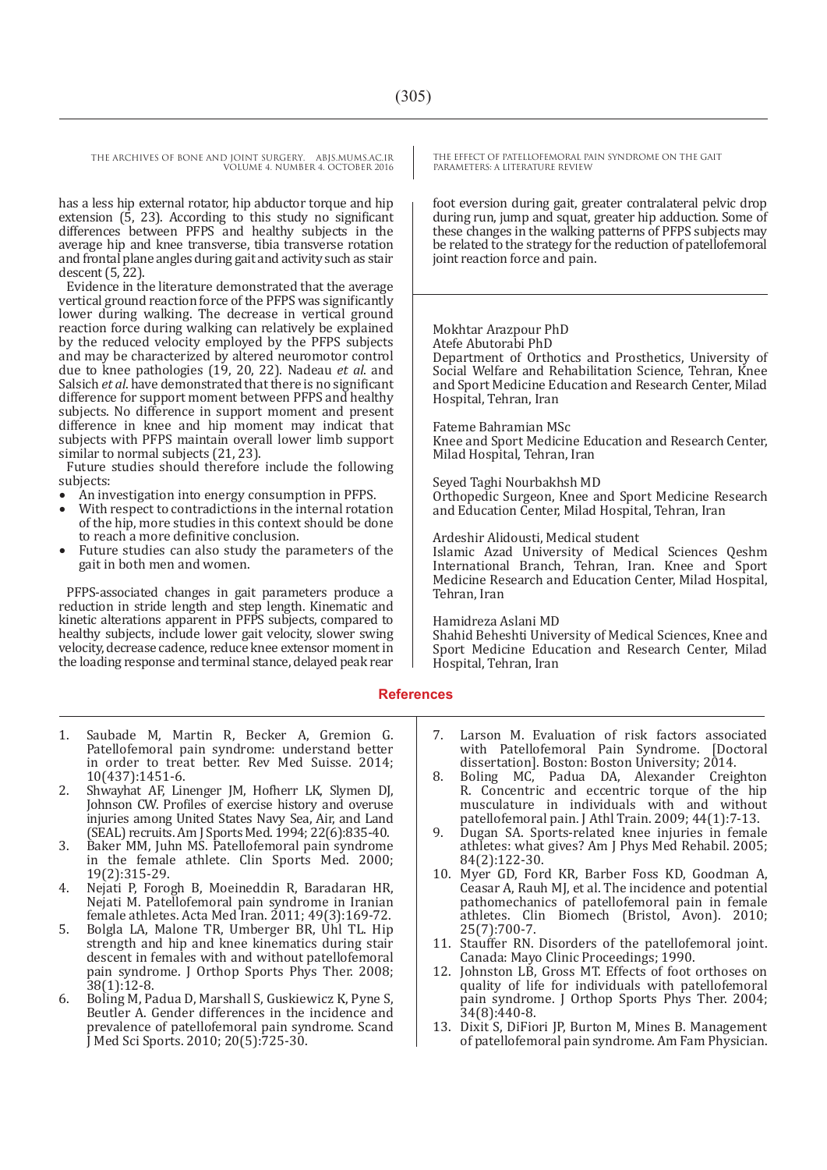has a less hip external rotator, hip abductor torque and hip extension (5, 23). According to this study no significant differences between PFPS and healthy subjects in the average hip and knee transverse, tibia transverse rotation and frontal plane angles during gait and activity such as stair  $descent(5, 22)$ .

Evidence in the literature demonstrated that the average vertical ground reaction force ofthe PFPS was significantly lower during walking. The decrease in vertical ground reaction force during walking can relatively be explained by the reduced velocity employed by the PFPS subjects and may be characterized by altered neuromotor control due to knee pathologies (19, 20, 22). Nadeau *et al*. and Salsich *et al*. have demonstrated that there is no significant difference for support moment between PFPS and healthy subjects. No difference in support moment and present difference in knee and hip moment may indicat that subjects with PFPS maintain overall lower limb support similar to normal subjects (21, 23).

Future studies should therefore include the following

- 
- An investigation into energy consumption in PFPS.<br>With respect to contradictions in the internal rotation of the hip, more studies in this context should be done
- Future studies can also study the parameters of the gait in both men and women.

PFPS-associated changes in gait parameters produce a reduction in stride length and step length. Kinematic and kinetic alterations apparent in PFPS subjects, compared to healthy subjects, include lower gait velocity, slower swing velocity, decrease cadence, reduce knee extensor momentin the loading response and terminal stance, delayed peak rear THE EFFECT OF PATELLOFEMORAL PAIN SYNDROME ON THE GAIT PARAMETERS: A LITERATURE REVIEW

foot eversion during gait, greater contralateral pelvic drop during run, jump and squat, greater hip adduction. Some of these changes in the walking patterns of PFPS subjects may be related to the strategy for the reduction of patellofemoral joint reaction force and pain.

#### Mokhtar Arazpour PhD

Atefe Abutorabi PhD

Department of Orthotics and Prosthetics, University of Social Welfare and Rehabilitation Science, Tehran, Knee and Sport Medicine Education and Research Center, Milad Hospital, Tehran, Iran

#### Fateme Bahramian MSc

Knee and Sport Medicine Education and Research Center, Milad Hospital, Tehran, Iran

#### Seyed Taghi Nourbakhsh MD

Orthopedic Surgeon, Knee and Sport Medicine Research and Education Center, Milad Hospital, Tehran, Iran

#### Ardeshir Alidousti, Medical student

Islamic Azad University of Medical Sciences Qeshm International Branch, Tehran, Iran. Knee and Sport Medicine Research and Education Center, Milad Hospital, Tehran, Iran

#### Hamidreza Aslani MD

Shahid Beheshti University of Medical Sciences, Knee and Sport Medicine Education and Research Center, Milad Hospital, Tehran, Iran

#### **References**

- 1. Saubade M, Martin R, Becker A, Gremion G. Patellofemoral pain syndrome: understand better in order to treat better. Rev Med Suisse. 2014; 10(437):1451-6.
- 2. Shwayhat AF, Linenger JM, Hofherr LK, Slymen DJ, Johnson CW. Profiles of exercise history and overuse injuries among United States Navy Sea, Air, and Land (SEAL) recruits. Am J Sports Med. 1994; 22(6):835-40.
- 3. Baker MM, Juhn MS. Patellofemoral pain syndrome in the female athlete. Clin Sports Med. 2000; 19(2):315-29.
- 4. Nejati P, Forogh B, Moeineddin R, Baradaran HR, Nejati M. Patellofemoral pain syndrome in Iranian female athletes. Acta Med Iran. 2011; 49(3):169-72.
- 5. Bolgla LA, Malone TR, Umberger BR, Uhl TL. Hip strength and hip and knee kinematics during stair descent in females with and without patellofemoral pain syndrome. J Orthop Sports Phys Ther. 2008; 38(1):12-8.
- 6. Boling M, Padua D, Marshall S, Guskiewicz K, Pyne S, Beutler A. Gender differences in the incidence and prevalence of patellofemoral pain syndrome. Scand J Med Sci Sports. 2010; 20(5):725-30.
- 7. Larson M. Evaluation of risk factors associated with Patellofemoral Pain Syndrome. [Doctoral dissertation]. Boston: Boston University; 2014.
- 8. Boling MC, Padua DA, Alexander Creighton R. Concentric and eccentric torque of the hip musculature in individuals with and without patellofemoral pain. J Athl Train. 2009; 44(1):7-13.
- 9. Dugan SA. Sports-related knee injuries in female athletes: what gives? Am J Phys Med Rehabil. 2005; 84(2):122-30.
- 10. Myer GD, Ford KR, Barber Foss KD, Goodman A, Ceasar A, Rauh MJ, et al. The incidence and potential pathomechanics of patellofemoral pain in female athletes. Clin Biomech (Bristol, Avon). 2010; 25(7):700-7.
- 11. Stauffer RN. Disorders of the patellofemoral joint. Canada: Mayo Clinic Proceedings; 1990.
- 12. Johnston LB, Gross MT. Effects of foot orthoses on quality of life for individuals with patellofemoral pain syndrome. J Orthop Sports Phys Ther. 2004; 34(8):440-8.
- 13. Dixit S, DiFiori JP, Burton M, Mines B. Management of patellofemoral pain syndrome. Am Fam Physician.